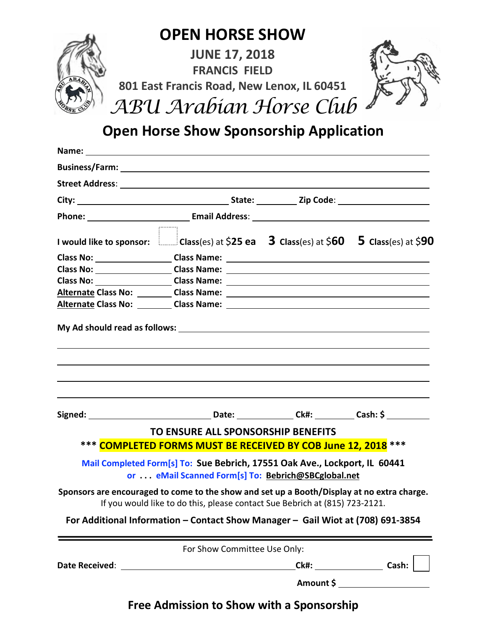

## **Open Horse Show Sponsorship Application**

| Business/Farm: National Contract of Contract Contract of Contract Contract Contract Contract Contract Contract Contract Contract Contract Contract Contract Contract Contract Contract Contract Contract Contract Contract Con     |                                                                                                                                   |                                  |
|------------------------------------------------------------------------------------------------------------------------------------------------------------------------------------------------------------------------------------|-----------------------------------------------------------------------------------------------------------------------------------|----------------------------------|
| Street Address: <u>All Annual Address:</u> All Annual Address: All Annual Address: All Annual Address: All Annual Address: All Annual Address: All Annual Address: All Annual Address: All Annual Address: All Annual Address: All |                                                                                                                                   |                                  |
|                                                                                                                                                                                                                                    |                                                                                                                                   |                                  |
|                                                                                                                                                                                                                                    |                                                                                                                                   |                                  |
| I would like to sponsor: $\Box$ Class(es) at \$25 ea 3 Class(es) at \$60 5 Class(es) at \$90                                                                                                                                       | .                                                                                                                                 |                                  |
| Class No: Class Name: Class Name: Class Name: Class Name: Class Name: Class Name: Class Name: Class Name: Class Name: Class Name: Class Name: Class Name: Class Name: Class Name: Class Name: Class Name: Class Name: Class Na     |                                                                                                                                   |                                  |
|                                                                                                                                                                                                                                    |                                                                                                                                   |                                  |
|                                                                                                                                                                                                                                    |                                                                                                                                   |                                  |
|                                                                                                                                                                                                                                    |                                                                                                                                   |                                  |
| Alternate Class No: Class Name: 2008 Name: 2008 1208 1208 1208 1208 121 122 123 124 125 126 127 127 127 127 12                                                                                                                     |                                                                                                                                   |                                  |
|                                                                                                                                                                                                                                    |                                                                                                                                   |                                  |
|                                                                                                                                                                                                                                    | TO ENSURE ALL SPONSORSHIP BENEFITS                                                                                                |                                  |
|                                                                                                                                                                                                                                    | *** COMPLETED FORMS MUST BE RECEIVED BY COB June 12, 2018 ***                                                                     |                                  |
|                                                                                                                                                                                                                                    | Mail Completed Form[s] To: Sue Bebrich, 17551 Oak Ave., Lockport, IL 60441<br>or  eMail Scanned Form[s] To: Bebrich@SBCglobal.net |                                  |
| Sponsors are encouraged to come to the show and set up a Booth/Display at no extra charge.                                                                                                                                         | If you would like to do this, please contact Sue Bebrich at (815) 723-2121.                                                       |                                  |
|                                                                                                                                                                                                                                    | For Additional Information - Contact Show Manager - Gail Wiot at (708) 691-3854                                                   |                                  |
|                                                                                                                                                                                                                                    | For Show Committee Use Only:                                                                                                      |                                  |
|                                                                                                                                                                                                                                    |                                                                                                                                   | Ck#: Cash:                       |
|                                                                                                                                                                                                                                    |                                                                                                                                   | Amount \$ ______________________ |

**Free Admission to Show with a Sponsorship**